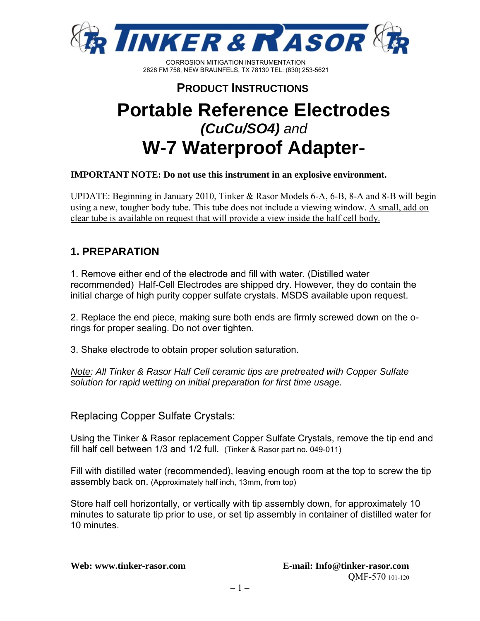

#### **PRODUCT INSTRUCTIONS**

# **Portable Reference Electrodes**  *(CuCu/SO4) and* **W-7 Waterproof Adapter**-

#### **IMPORTANT NOTE: Do not use this instrument in an explosive environment.**

UPDATE: Beginning in January 2010, Tinker & Rasor Models 6-A, 6-B, 8-A and 8-B will begin using a new, tougher body tube. This tube does not include a viewing window. A small, add on clear tube is available on request that will provide a view inside the half cell body.

#### **1. PREPARATION**

1. Remove either end of the electrode and fill with water. (Distilled water recommended) Half-Cell Electrodes are shipped dry. However, they do contain the initial charge of high purity copper sulfate crystals. MSDS available upon request.

2. Replace the end piece, making sure both ends are firmly screwed down on the orings for proper sealing. Do not over tighten.

3. Shake electrode to obtain proper solution saturation.

*Note: All Tinker & Rasor Half Cell ceramic tips are pretreated with Copper Sulfate solution for rapid wetting on initial preparation for first time usage.*

Replacing Copper Sulfate Crystals:

Using the Tinker & Rasor replacement Copper Sulfate Crystals, remove the tip end and fill half cell between 1/3 and 1/2 full. (Tinker & Rasor part no. 049-011)

Fill with distilled water (recommended), leaving enough room at the top to screw the tip assembly back on. (Approximately half inch, 13mm, from top)

Store half cell horizontally, or vertically with tip assembly down, for approximately 10 minutes to saturate tip prior to use, or set tip assembly in container of distilled water for 10 minutes.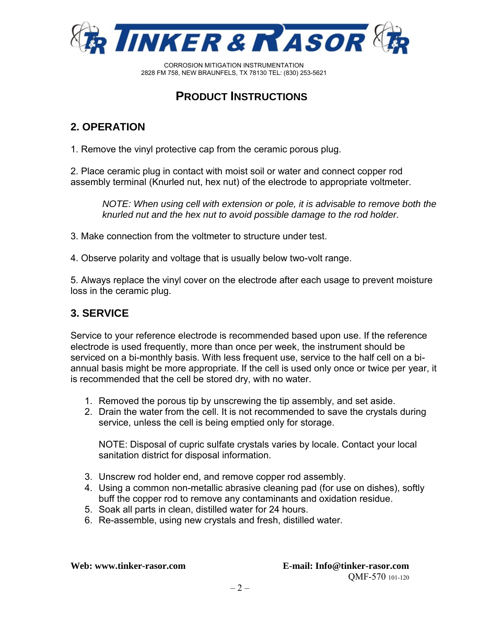

## **PRODUCT INSTRUCTIONS**

#### **2. OPERATION**

1. Remove the vinyl protective cap from the ceramic porous plug.

2. Place ceramic plug in contact with moist soil or water and connect copper rod assembly terminal (Knurled nut, hex nut) of the electrode to appropriate voltmeter.

*NOTE: When using cell with extension or pole, it is advisable to remove both the knurled nut and the hex nut to avoid possible damage to the rod holder.*

3. Make connection from the voltmeter to structure under test.

4. Observe polarity and voltage that is usually below two-volt range.

5. Always replace the vinyl cover on the electrode after each usage to prevent moisture loss in the ceramic plug.

#### **3. SERVICE**

Service to your reference electrode is recommended based upon use. If the reference electrode is used frequently, more than once per week, the instrument should be serviced on a bi-monthly basis. With less frequent use, service to the half cell on a biannual basis might be more appropriate. If the cell is used only once or twice per year, it is recommended that the cell be stored dry, with no water.

- 1. Removed the porous tip by unscrewing the tip assembly, and set aside.
- 2. Drain the water from the cell. It is not recommended to save the crystals during service, unless the cell is being emptied only for storage.

NOTE: Disposal of cupric sulfate crystals varies by locale. Contact your local sanitation district for disposal information.

- 3. Unscrew rod holder end, and remove copper rod assembly.
- 4. Using a common non-metallic abrasive cleaning pad (for use on dishes), softly buff the copper rod to remove any contaminants and oxidation residue.
- 5. Soak all parts in clean, distilled water for 24 hours.
- 6. Re-assemble, using new crystals and fresh, distilled water.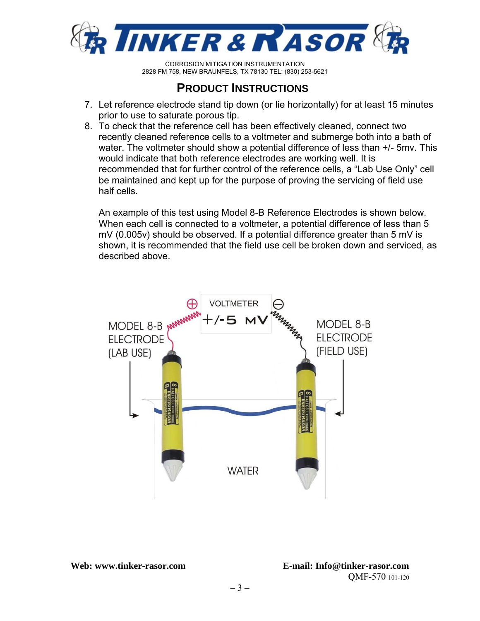

### **PRODUCT INSTRUCTIONS**

- 7. Let reference electrode stand tip down (or lie horizontally) for at least 15 minutes prior to use to saturate porous tip.
- 8. To check that the reference cell has been effectively cleaned, connect two recently cleaned reference cells to a voltmeter and submerge both into a bath of water. The voltmeter should show a potential difference of less than +/- 5mv. This would indicate that both reference electrodes are working well. It is recommended that for further control of the reference cells, a "Lab Use Only" cell be maintained and kept up for the purpose of proving the servicing of field use half cells.

An example of this test using Model 8-B Reference Electrodes is shown below. When each cell is connected to a voltmeter, a potential difference of less than 5 mV (0.005v) should be observed. If a potential difference greater than 5 mV is shown, it is recommended that the field use cell be broken down and serviced, as described above.